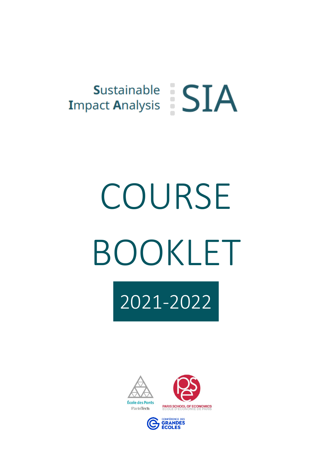

# COURSE BOOKLET







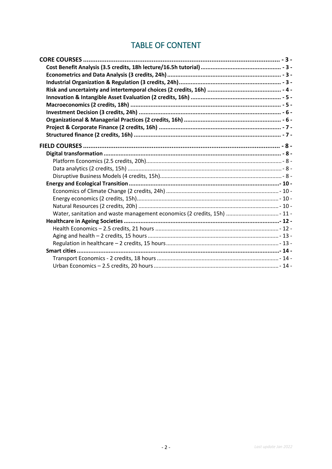# **TABLE OF CONTENT**

| - 8 - تارين يستند بين المستند بين المستند بين المستند بين المستند بين المستند بين المستند . • TIELD COURSES |  |
|-------------------------------------------------------------------------------------------------------------|--|
|                                                                                                             |  |
|                                                                                                             |  |
|                                                                                                             |  |
|                                                                                                             |  |
|                                                                                                             |  |
|                                                                                                             |  |
|                                                                                                             |  |
|                                                                                                             |  |
| Water, sanitation and waste management economics (2 credits, 15h)  11 -                                     |  |
|                                                                                                             |  |
|                                                                                                             |  |
|                                                                                                             |  |
|                                                                                                             |  |
|                                                                                                             |  |
|                                                                                                             |  |
|                                                                                                             |  |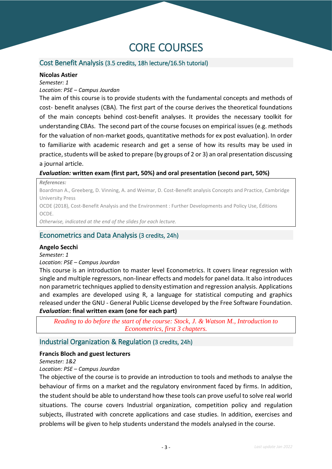# <span id="page-2-0"></span>CORE COURSES

#### <span id="page-2-1"></span>Cost Benefit Analysis (3.5 credits, 18h lecture/16.5h tutorial)

#### **Nicolas Astier**

*Semester: 1*

#### *Location: PSE – Campus Jourdan*

The aim of this course is to provide students with the fundamental concepts and methods of cost- benefit analyses (CBA). The first part of the course derives the theoretical foundations of the main concepts behind cost-benefit analyses. It provides the necessary toolkit for understanding CBAs. The second part of the course focuses on empirical issues (e.g. methods for the valuation of non-market goods, quantitative methods for ex post evaluation). In order to familiarize with academic research and get a sense of how its results may be used in practice, students will be asked to prepare (by groups of 2 or 3) an oral presentation discussing a journal article.

#### *Evaluation:* **written exam (first part, 50%) and oral presentation (second part, 50%)**

*References:* 

Boardman A., Greeberg, D. Vinning, A. and Weimar, D. Cost-Benefit analysis Concepts and Practice, Cambridge University Press

OCDE (2018), Cost-Benefit Analysis and the Environment : Further Developments and Policy Use, Éditions OCDE.

*Otherwise, indicated at the end of the slides for each lecture.*

#### <span id="page-2-2"></span>Econometrics and Data Analysis (3 credits, 24h)

#### **Angelo Secchi**

#### *Semester: 1*

#### *Location: PSE – Campus Jourdan*

This course is an introduction to master level Econometrics. It covers linear regression with single and multiple regressors, non-linear effects and models for panel data. It also introduces non parametric techniques applied to density estimation and regression analysis. Applications and examples are developed using R, a language for statistical computing and graphics released under the GNU - General Public License developed by the Free Software Foundation. *Evaluation***: final written exam (one for each part)**

*Reading to do before the start of the course: Stock, J. & Watson M., Introduction to Econometrics, first 3 chapters.*

#### <span id="page-2-3"></span>Industrial Organization & Regulation (3 credits, 24h)

#### **Francis Bloch and guest lecturers**

*Semester: 1&2*

#### *Location: PSE – Campus Jourdan*

The objective of the course is to provide an introduction to tools and methods to analyse the behaviour of firms on a market and the regulatory environment faced by firms. In addition, the student should be able to understand how these tools can prove useful to solve real world situations. The course covers Industrial organization, competition policy and regulation subjects, illustrated with concrete applications and case studies. In addition, exercises and problems will be given to help students understand the models analysed in the course.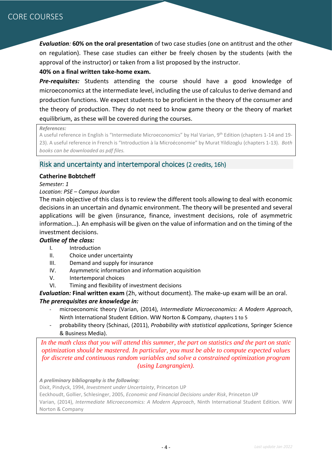*Evaluation:* **60% on the oral presentation** of two case studies (one on antitrust and the other on regulation). These case studies can either be freely chosen by the students (with the approval of the instructor) or taken from a list proposed by the instructor.

#### **40% on a final written take-home exam.**

*Pre-requisites:* Students attending the course should have a good knowledge of microeconomics at the intermediate level, including the use of calculus to derive demand and production functions. We expect students to be proficient in the theory of the consumer and the theory of production. They do not need to know game theory or the theory of market equilibrium, as these will be covered during the courses.

#### *References:*

A useful reference in English is "Intermediate Microeconomics" by Hal Varian, 9<sup>th</sup> Edition (chapters 1-14 and 19-23). A useful reference in French is "Introduction à la Microéconomie" by Murat Yildizoglu (chapters 1-13). *Both books can be downloaded as pdf files.*

#### <span id="page-3-0"></span>Risk and uncertainty and intertemporal choices (2 credits, 16h)

#### **Catherine Bobtcheff**

#### *Semester: 1*

#### *Location: PSE – Campus Jourdan*

The main objective of this class is to review the different tools allowing to deal with economic decisions in an uncertain and dynamic environment. The theory will be presented and several applications will be given (insurance, finance, investment decisions, role of asymmetric information…). An emphasis will be given on the value of information and on the timing of the investment decisions.

#### *Outline of the class:*

- I. Introduction
- II. Choice under uncertainty
- III. Demand and supply for insurance
- IV. Asymmetric information and information acquisition
- V. Intertemporal choices
- VI. Timing and flexibility of investment decisions

*Evaluation:* **Final written exam** (2h, without document). The make-up exam will be an oral.

#### *The prerequisites are knowledge in:*

- microeconomic theory (Varian, (2014), *Intermediate Microeconomics: A Modern Approach*, Ninth International Student Edition. WW Norton & Company, chapters 1 to 5
- probability theory (Schinazi, (2011), *Probability with statistical applications*, Springer Science & Business Media).

*In the math class that you will attend this summer, the part on statistics and the part on static optimization should be mastered. In particular, you must be able to compute expected values for discrete and continuous random variables and solve a constrained optimization program (using Langrangien).*

*A preliminary bibliography is the following:*

Dixit, Pindyck, 1994, *Investment under Uncertainty*, Princeton UP

Eeckhoudt, Gollier, Schlesinger, 2005, *Economic and Financial Decisions under Risk*, Princeton UP

Varian, (2014), *Intermediate Microeconomics: A Modern Approach*, Ninth International Student Edition. WW Norton & Company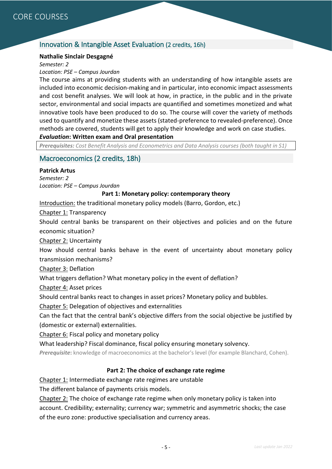## <span id="page-4-0"></span>Innovation & Intangible Asset Evaluation (2 credits, 16h)

#### **Nathalie Sinclair Desgagné**

*Semester: 2*

*Location: PSE – Campus Jourdan*

The course aims at providing students with an understanding of how intangible assets are included into economic decision-making and in particular, into economic impact assessments and cost benefit analyses. We will look at how, in practice, in the public and in the private sector, environmental and social impacts are quantified and sometimes monetized and what innovative tools have been produced to do so. The course will cover the variety of methods used to quantify and monetize these assets (stated-preference to revealed-preference). Once methods are covered, students will get to apply their knowledge and work on case studies. *Evaluation***: Written exam and Oral presentation**

*Prerequisites: Cost Benefit Analysis and Econometrics and Data Analysis courses (both taught in S1)*

#### <span id="page-4-1"></span>Macroeconomics (2 credits, 18h)

#### **Patrick Artus**

*Semester: 2 Location: PSE – Campus Jourdan*

#### **Part 1: Monetary policy: contemporary theory**

Introduction: the traditional monetary policy models (Barro, Gordon, etc.)

Chapter 1: Transparency

Should central banks be transparent on their objectives and policies and on the future economic situation?

Chapter 2: Uncertainty

How should central banks behave in the event of uncertainty about monetary policy transmission mechanisms?

Chapter 3: Deflation

What triggers deflation? What monetary policy in the event of deflation?

Chapter 4: Asset prices

Should central banks react to changes in asset prices? Monetary policy and bubbles.

Chapter 5: Delegation of objectives and externalities

Can the fact that the central bank's objective differs from the social objective be justified by (domestic or external) externalities.

Chapter 6: Fiscal policy and monetary policy

What leadership? Fiscal dominance, fiscal policy ensuring monetary solvency.

*Prerequisite***:** knowledge of macroeconomics at the bachelor's level (for example Blanchard, Cohen).

#### **Part 2: The choice of exchange rate regime**

Chapter 1: Intermediate exchange rate regimes are unstable

The different balance of payments crisis models.

Chapter 2: The choice of exchange rate regime when only monetary policy is taken into account. Credibility; externality; currency war; symmetric and asymmetric shocks; the case of the euro zone: productive specialisation and currency areas.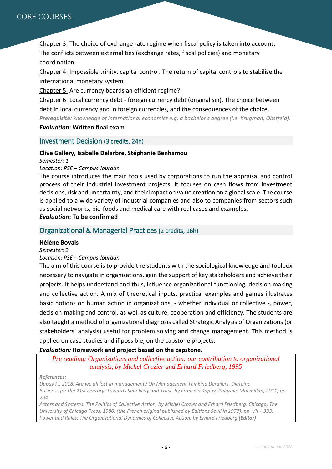Chapter 3: The choice of exchange rate regime when fiscal policy is taken into account. The conflicts between externalities (exchange rates, fiscal policies) and monetary coordination

Chapter 4: Impossible trinity, capital control. The return of capital controls to stabilise the international monetary system

Chapter 5: Are currency boards an efficient regime?

Chapter 6: Local currency debt - foreign currency debt (original sin). The choice between debt in local currency and in foreign currencies, and the consequences of the choice. *Prerequisite: knowledge of international economics e.g. a bachelor's degree (i.e. Krugman, Obstfeld).*

#### *Evaluation***: Written final exam**

#### <span id="page-5-0"></span>Investment Decision (3 credits, 24h)

#### **Clive Gallery, Isabelle Delarbre, Stéphanie Benhamou**

*Semester: 1*

#### *Location: PSE – Campus Jourdan*

The course introduces the main tools used by corporations to run the appraisal and control process of their industrial investment projects. It focuses on cash flows from investment decisions, risk and uncertainty, and their impact on value creation on a global scale. The course is applied to a wide variety of industrial companies and also to companies from sectors such as social networks, bio-foods and medical care with real cases and examples. *Evaluation***: To be confirmed**

#### <span id="page-5-1"></span>Organizational & Managerial Practices (2 credits, 16h)

#### **Hélène Bovais**

#### *Semester: 2*

#### *Location: PSE – Campus Jourdan*

The aim of this course is to provide the students with the sociological knowledge and toolbox necessary to navigate in organizations, gain the support of key stakeholders and achieve their projects. It helps understand and thus, influence organizational functioning, decision making and collective action. A mix of theoretical inputs, practical examples and games illustrates basic notions on human action in organizations, - whether individual or collective -, power, decision-making and control, as well as culture, cooperation and efficiency. The students are also taught a method of organizational diagnosis called Strategic Analysis of Organizations (or stakeholders' analysis) useful for problem solving and change management. This method is applied on case studies and if possible, on the capstone projects.

#### *Evaluation:* **Homework and project based on the capstone.**

*Pre reading: Organizations and collective action: our contribution to organizational analysis, by Michel Crozier and Erhard Friedberg, 1995*

#### *References:*

*Dupuy F., 2018, Are we all lost in management? On Management Thinking Derailers, Diateino Business for the 21st century: Towards Simplicity and Trust, by François Dupuy, Palgrave Macmillan, 2011, pp. 204* 

*Actors and Systems. The Politics of Collective Action, by Michel Crozier and Erhard Friedberg, Chicago, The University of Chicago Press, 1980, (the French original published by Éditions Seuil in 1977), pp. VII + 333. Power and Rules: The Organizational Dynamics of Collective Action, by [Erhard Friedberg](https://www.goodreads.com/author/show/929386.Erhard_Friedberg) (Editor)*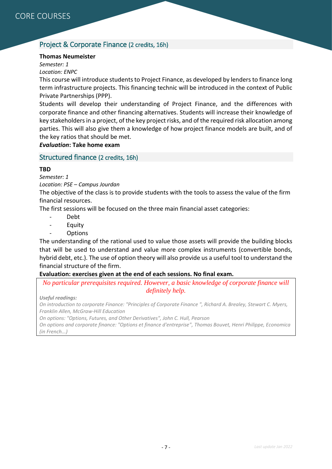## <span id="page-6-0"></span>Project & Corporate Finance (2 credits, 16h)

#### **Thomas Neumeister**

*Semester: 1 Location: ENPC*

This course will introduce students to Project Finance, as developed by lenders to finance long term infrastructure projects. This financing technic will be introduced in the context of Public Private Partnerships (PPP).

Students will develop their understanding of Project Finance, and the differences with corporate finance and other financing alternatives. Students will increase their knowledge of key stakeholders in a project, of the key project risks, and of the required risk allocation among parties. This will also give them a knowledge of how project finance models are built, and of the key ratios that should be met.

*Evaluation***: Take home exam**

#### <span id="page-6-1"></span>Structured finance (2 credits, 16h)

#### **TBD**

*Semester: 1*

*Location: PSE – Campus Jourdan*

The objective of the class is to provide students with the tools to assess the value of the firm financial resources.

The first sessions will be focused on the three main financial asset categories:

- Debt
- **Equity**
- Options

The understanding of the rational used to value those assets will provide the building blocks that will be used to understand and value more complex instruments (convertible bonds, hybrid debt, etc.). The use of option theory will also provide us a useful tool to understand the financial structure of the firm.

#### **Evaluation: exercises given at the end of each sessions. No final exam.**

*No particular prerequisites required. However, a basic knowledge of corporate finance will definitely help.*

*Useful readings:*

*On introduction to corporate Finance: "Principles of Corporate Finance ", Richard A. Brealey, Stewart C. Myers, Franklin Allen, McGraw-Hill Education*

*On options: "Options, Futures, and Other Derivatives", John C. Hull, Pearson*

*On options and corporate finance: "Options et finance d'entreprise", Thomas Bouvet, Henri Philippe, Economica (in French...)*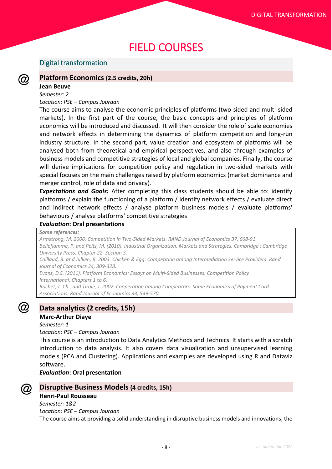# <span id="page-7-0"></span>FIELD COURSES

#### <span id="page-7-1"></span>Digital transformation

#### <span id="page-7-2"></span>**Platform Economics (2.5 credits, 20h)**

#### **Jean Beuve**

(Q)

#### *Semester: 2*

#### *Location: PSE – Campus Jourdan*

The course aims to analyse the economic principles of platforms (two-sided and multi-sided markets). In the first part of the course, the basic concepts and principles of platform economics will be introduced and discussed. It will then consider the role of scale economies and network effects in determining the dynamics of platform competition and long-run industry structure. In the second part, value creation and ecosystem of platforms will be analysed both from theoretical and empirical perspectives, and also through examples of business models and competitive strategies of local and global companies. Finally, the course will derive implications for competition policy and regulation in two-sided markets with special focuses on the main challenges raised by platform economics (market dominance and merger control, role of data and privacy).

*Expectations and Goals:* After completing this class students should be able to: identify platforms / explain the functioning of a platform / identify network effects / evaluate direct and indirect network effects / analyse platform business models / evaluate platforms' behaviours / analyse platforms' competitive strategies

#### *Evaluation***: Oral presentations**

#### *Some references:*

*Armstrong, M. 2006. [Competition in Two-Sided Markets.](http://eprints.ucl.ac.uk/4324/1/competitionintwosidedmarkets.pdf) RAND Journal of Economics 37, 668-91. Belleflamme, P. and Peitz, M. (2010). Industrial Organization. Markets and Strategies. Cambridge : Cambridge University Press. Chapter 22. Section 3. Caillaud, B. and Jullien, B. 2003. [Chicken & Egg: Competition among Intermediation Service Providers.](http://www.rchss.sinica.edu.tw/cibs/pdf/CaillaudJullien.pdf) Rand Journal of Economics 34, 309-328. Evans, D.S. (2011). [Platform Economics: Essays on Multi-Sided Businesses.](http://papers.ssrn.com/sol3/papers.cfm?abstract_id=1974020) Competition Policy International. Chapters 1 to 6. Rochet, J.-Ch., and Tirole, J. 2002. Cooperation among Competitors: Some Economics of Payment Card* 

*Associations. Rand Journal of Economics 33, 549-570.*

#### <span id="page-7-3"></span>**Data analytics (2 credits, 15h)**

#### **Marc-Arthur Diaye**

*Semester: 1*

*Location: PSE – Campus Jourdan*

This course is an introduction to Data Analytics Methods and Technics. It starts with a scratch introduction to data analysis. It also covers data visualization and unsupervised learning models (PCA and Clustering). Applications and examples are developed using R and Dataviz software.

#### <span id="page-7-4"></span>*Evaluation***: Oral presentation**



#### **Disruptive Business Models (4 credits, 15h)**

#### **Henri-Paul Rousseau**

*Semester: 1&2 Location: PSE – Campus Jourdan* The course aims at providing a solid understanding in disruptive business models and innovations; the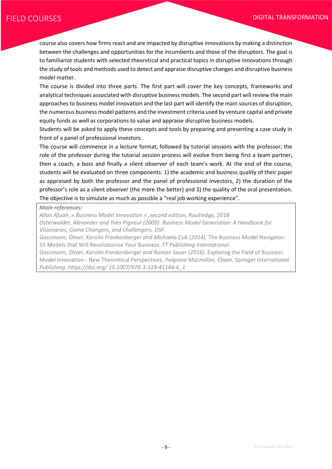course also covers how firms react and are impacted by disruptive innovations by making a distinction between the challenges and opportunities for the incumbents and those of the disruptors. The goal is to familiarize students with selected theoretical and practical topics in disruptive innovations through the study of tools and methods used to detect and appraise disruptive changes and disruptive business model matter.

The course is divided into three parts. The first part will cover the key concepts, frameworks and analytical techniques associated with disruptive business models. The second part will review the main approaches to business model innovation and the last part will identify the main sources of disruption, the numerous business model patterns and the investment criteria used by venture capital and private equity funds as well as corporations to value and appraise disruptive business models.

Students will be asked to apply these concepts and tools by preparing and presenting a case study in front of a panel of professional investors.

The course will commence in a lecture format, followed by tutorial sessions with the professor; the role of the professor during the tutorial session process will evolve from being first a team partner, then a coach, a boss and finally a silent observer of each team's work. At the end of the course, students will be evaluated on three components: 1) the academic and business quality of their paper as appraised by both the professor and the panel of professional investors, 2) the duration of the professor's role as a silent observer (the more the better) and 3) the quality of the oral presentation. The objective is to simulate as much as possible a "real job working experience".

*Main references:* 

*Allan Afuah ,« Business Model Innovation » ,second edition, Routledge, 2018*

*Osterwalder, Alexander and Yves Pigneur (2009). Business Model Generation: A Handbook for Visionaries, Game Changers, and Challengers. OSF.*

Gassmann, Oliver, Karolin Frankenberger and Michaela Csik (2014). The Business Model Navigator: 55 Models that Will Revolutionise Your Business*. FT Publishing International.*

*Gassmann, Oliver, Karolin Frankenberger and Roman Sauer (2016).* Exploring the Field of Business Model Innovation - New Theoretical Perspectives*. Palgrave Macmillan, Cham. Springer International Publishing. https://doi.org/ 10.1007/978-3-319-41144-6\_1*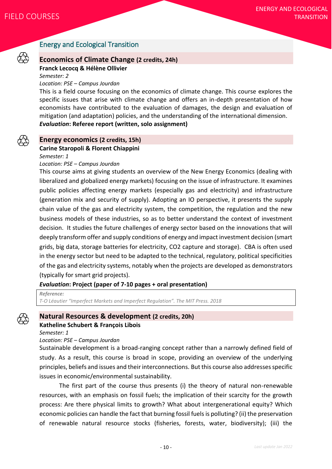

# <span id="page-9-0"></span>Energy and Ecological Transition

#### <span id="page-9-1"></span>**Economics of Climate Change (2 credits, 24h)**

**Franck Lecocq & Hélène Ollivier**

*Semester: 2*

#### *Location: PSE – Campus Jourdan*

This is a field course focusing on the economics of climate change. This course explores the specific issues that arise with climate change and offers an in-depth presentation of how economists have contributed to the evaluation of damages, the design and evaluation of mitigation (and adaptation) policies, and the understanding of the international dimension. *Evaluation***: Referee report (written, solo assignment)**



# <span id="page-9-2"></span>**Energy economics (2 credits, 15h)**

**Carine Staropoli & Florent Chiappini**

*Semester: 1*

#### *Location: PSE – Campus Jourdan*

This course aims at giving students an overview of the New Energy Economics (dealing with liberalized and globalized energy markets) focusing on the issue of infrastructure. It examines public policies affecting energy markets (especially gas and electricity) and infrastructure (generation mix and security of supply). Adopting an IO perspective, it presents the supply chain value of the gas and electricity system, the competition, the regulation and the new business models of these industries, so as to better understand the context of investment decision. It studies the future challenges of energy sector based on the innovations that will deeply transform offer and supply conditions of energy and impact investment decision (smart grids, big data, storage batteries for electricity, CO2 capture and storage). CBA is often used in the energy sector but need to be adapted to the technical, regulatory, political specificities of the gas and electricity systems, notably when the projects are developed as demonstrators (typically for smart grid projects).

#### *Evaluation***: Project (paper of 7-10 pages + oral presentation)**

*Reference: T-O Léautier "Imperfect Markets and Imperfect Regulation". The MIT Press. 2018*

#### <span id="page-9-3"></span>**Natural Resources & development (2 credits, 20h) Katheline Schubert & François Libois**

*Semester: 1*

#### *Location: PSE – Campus Jourdan*

Sustainable development is a broad-ranging concept rather than a narrowly defined field of study. As a result, this course is broad in scope, providing an overview of the underlying principles, beliefs and issues and their interconnections. But this course also addresses specific issues in economic/environmental sustainability.

The first part of the course thus presents (i) the theory of natural non-renewable resources, with an emphasis on fossil fuels; the implication of their scarcity for the growth process: Are there physical limits to growth? What about intergenerational equity? Which economic policies can handle the fact that burning fossil fuels is polluting? (ii) the preservation of renewable natural resource stocks (fisheries, forests, water, biodiversity); (iii) the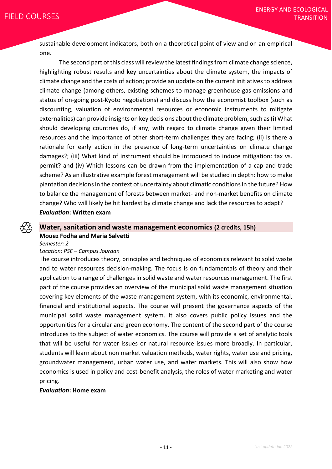sustainable development indicators, both on a theoretical point of view and on an empirical one.

The second part of this class will review the latest findings from climate change science, highlighting robust results and key uncertainties about the climate system, the impacts of climate change and the costs of action; provide an update on the current initiatives to address climate change (among others, existing schemes to manage greenhouse gas emissions and status of on-going post-Kyoto negotiations) and discuss how the economist toolbox (such as discounting, valuation of environmental resources or economic instruments to mitigate externalities) can provide insights on key decisions about the climate problem, such as (i) What should developing countries do, if any, with regard to climate change given their limited resources and the importance of other short-term challenges they are facing; (ii) Is there a rationale for early action in the presence of long-term uncertainties on climate change damages?; (iii) What kind of instrument should be introduced to induce mitigation: tax vs. permit? and (iv) Which lessons can be drawn from the implementation of a cap-and-trade scheme? As an illustrative example forest management will be studied in depth: how to make plantation decisions in the context of uncertainty about climatic conditions in the future? How to balance the management of forests between market- and non-market benefits on climate change? Who will likely be hit hardest by climate change and lack the resources to adapt? *Evaluation***: Written exam**

#### <span id="page-10-0"></span>**Water, sanitation and waste management economics (2 credits, 15h) Mouez Fodha and Maria Salvetti**

*Semester: 2*

#### *Location: PSE – Campus Jourdan*

The course introduces theory, principles and techniques of economics relevant to solid waste and to water resources decision-making. The focus is on fundamentals of theory and their application to a range of challenges in solid waste and water resources management. The first part of the course provides an overview of the municipal solid waste management situation covering key elements of the waste management system, with its economic, environmental, financial and institutional aspects. The course will present the governance aspects of the municipal solid waste management system. It also covers public policy issues and the opportunities for a circular and green economy. The content of the second part of the course introduces to the subject of water economics. The course will provide a set of analytic tools that will be useful for water issues or natural resource issues more broadly. In particular, students will learn about non market valuation methods, water rights, water use and pricing, groundwater management, urban water use, and water markets. This will also show how economics is used in policy and cost-benefit analysis, the roles of water marketing and water pricing.

#### *Evaluation***: Home exam**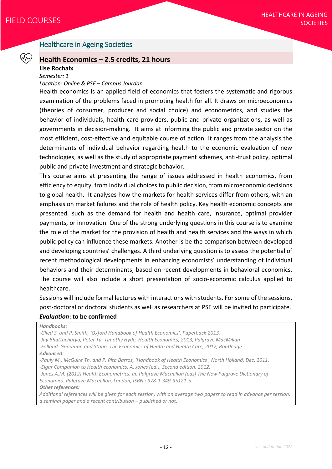## <span id="page-11-0"></span>Healthcare in Ageing Societies

#### <span id="page-11-1"></span>**Health Economics – 2.5 credits, 21 hours**

#### **Lise Rochaix**

*Semester: 1*

#### *Location: Online & PSE – Campus Jourdan*

Health economics is an applied field of economics that fosters the systematic and rigorous examination of the problems faced in promoting health for all. It draws on microeconomics (theories of consumer, producer and social choice) and econometrics, and studies the behavior of individuals, health care providers, public and private organizations, as well as governments in decision-making. It aims at informing the public and private sector on the most efficient, cost-effective and equitable course of action. It ranges from the analysis the determinants of individual behavior regarding health to the economic evaluation of new technologies, as well as the study of appropriate payment schemes, anti-trust policy, optimal public and private investment and strategic behavior.

This course aims at presenting the range of issues addressed in health economics, from efficiency to equity, from individual choices to public decision, from microeconomic decisions to global health. It analyses how the markets for health services differ from others, with an emphasis on market failures and the role of health policy. Key health economic concepts are presented, such as the demand for health and health care, insurance, optimal provider payments, or innovation. One of the strong underlying questions in this course is to examine the role of the market for the provision of health and health services and the ways in which public policy can influence these markets. Another is be the comparison between developed and developing countries' challenges. A third underlying question is to assess the potential of recent methodological developments in enhancing economists' understanding of individual behaviors and their determinants, based on recent developments in behavioral economics. The course will also include a short presentation of socio-economic calculus applied to healthcare.

Sessions will include formal lectures with interactions with students. For some of the sessions, post-doctoral or doctoral students as well as researchers at PSE will be invited to participate. *Evaluation***: to be confirmed**

*Handbooks:*

*-Glied S. and P. Smith, 'Oxford Handbook of Health Economics', Paperback 2013. -Jay Bhattacharya, Peter Tu, Timothy Hyde, Health Economics, 2013, Palgrave MacMillan -Folland, Goodman and Stano, The Economics of Health and Health Care, 2017, Routledge Advanced: -Pauly M., McGuire Th. and P. Pita Barros, 'Handbook of Health Economics', North Holland, Dec. 2011. -Elgar Companion to Health economics, A. Jones (ed.), Second edition, 2012. -Jones A.M. (2012) Health Econometrics. In: Palgrave Macmillan (eds) The New Palgrave Dictionary of Economics. Palgrave Macmillan, London, ISBN : 978-1-349-95121-5 Other references: Additional references will be given for each session, with on average two papers to read in advance per session: a seminal paper and a recent contribution – published or not.*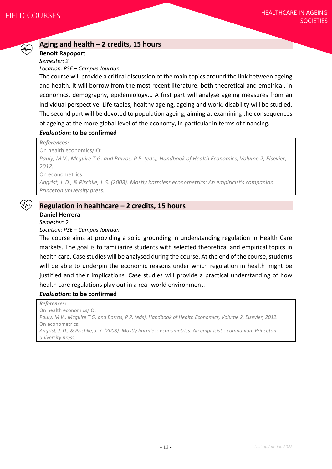#### <span id="page-12-0"></span>**Aging and health – 2 credits, 15 hours**

#### **Benoit Rapoport**

*Semester: 2 Location: PSE – Campus Jourdan*

The course will provide a critical discussion of the main topics around the link between ageing and health. It will borrow from the most recent literature, both theoretical and empirical, in economics, demography, epidemiology... A first part will analyse ageing measures from an individual perspective. Life tables, healthy ageing, ageing and work, disability will be studied. The second part will be devoted to population ageing, aiming at examining the consequences of ageing at the more global level of the economy, in particular in terms of financing.

#### *Evaluation***: to be confirmed**

*References:*

On health economics/IO:

*Pauly, M V., Mcguire T G. and Barros, P P. (eds), Handbook of Health Economics, Volume 2, Elsevier, 2012.*  On econometrics:

*Angrist, J. D., & Pischke, J. S. (2008). Mostly harmless econometrics: An empiricist's companion.* 

*Princeton university press.*

#### <span id="page-12-1"></span>**Regulation in healthcare – 2 credits, 15 hours**

#### **Daniel Herrera**

*Semester: 2*

#### *Location: PSE – Campus Jourdan*

The course aims at providing a solid grounding in understanding regulation in Health Care markets. The goal is to familiarize students with selected theoretical and empirical topics in health care. Case studies will be analysed during the course. At the end of the course, students will be able to underpin the economic reasons under which regulation in health might be justified and their implications. Case studies will provide a practical understanding of how health care regulations play out in a real-world environment.

#### *Evaluation***: to be confirmed**

*References:* On health economics/IO: *Pauly, M V., Mcguire T G. and Barros, P P. (eds), Handbook of Health Economics, Volume 2, Elsevier, 2012.* On econometrics: *Angrist, J. D., & Pischke, J. S. (2008). Mostly harmless econometrics: An empiricist's companion. Princeton university press.*